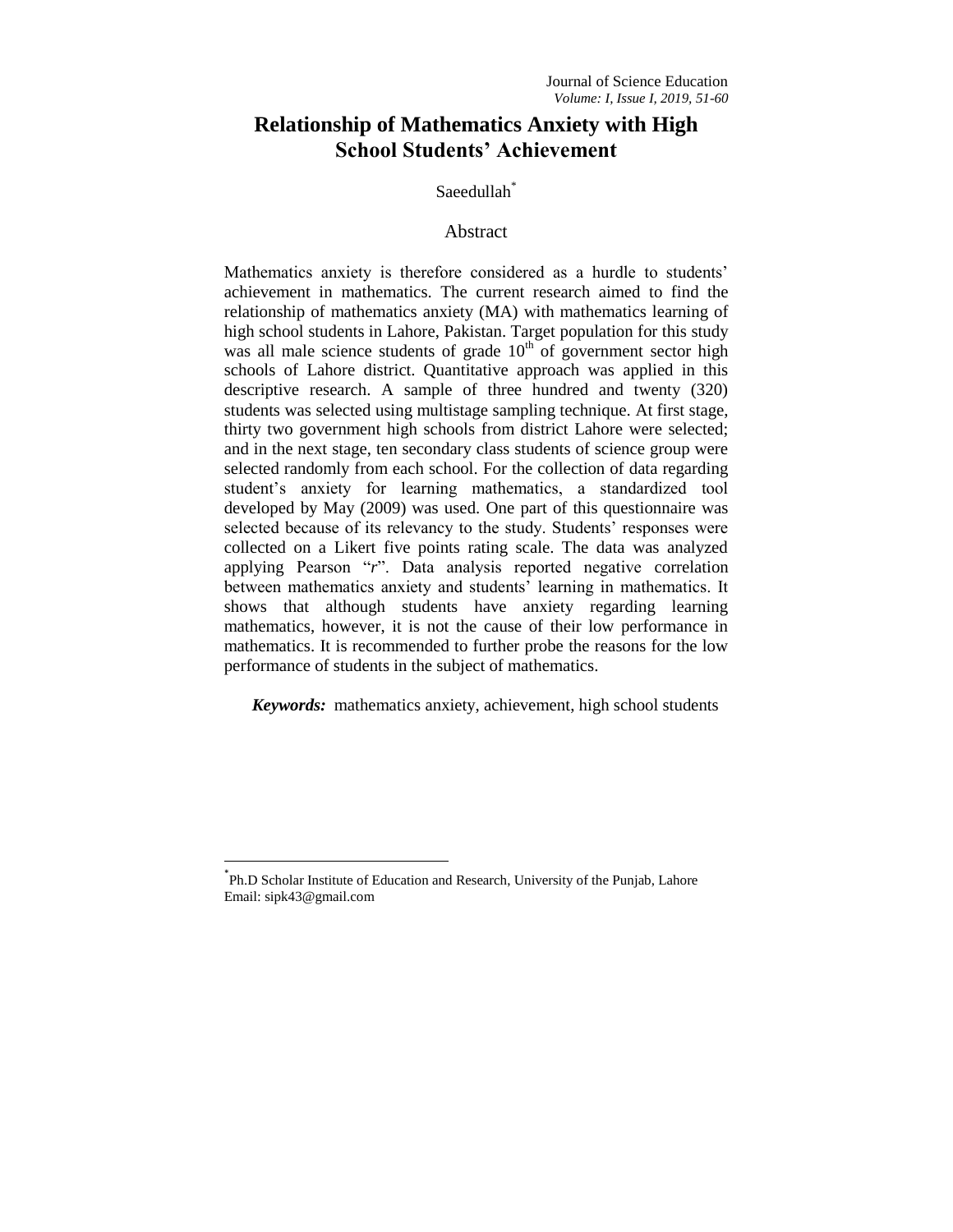# **Relationship of Mathematics Anxiety with High School Students' Achievement**

## Saeedullah\*

## Abstract

Mathematics anxiety is therefore considered as a hurdle to students' achievement in mathematics. The current research aimed to find the relationship of mathematics anxiety (MA) with mathematics learning of high school students in Lahore, Pakistan. Target population for this study was all male science students of grade  $10<sup>th</sup>$  of government sector high schools of Lahore district. Quantitative approach was applied in this descriptive research. A sample of three hundred and twenty (320) students was selected using multistage sampling technique. At first stage, thirty two government high schools from district Lahore were selected; and in the next stage, ten secondary class students of science group were selected randomly from each school. For the collection of data regarding student"s anxiety for learning mathematics, a standardized tool developed by May (2009) was used. One part of this questionnaire was selected because of its relevancy to the study. Students' responses were collected on a Likert five points rating scale. The data was analyzed applying Pearson "*r*". Data analysis reported negative correlation between mathematics anxiety and students' learning in mathematics. It shows that although students have anxiety regarding learning mathematics, however, it is not the cause of their low performance in mathematics. It is recommended to further probe the reasons for the low performance of students in the subject of mathematics.

*Keywords:* mathematics anxiety, achievement, high school students

l

<sup>\*</sup> Ph.D Scholar Institute of Education and Research, University of the Punjab, Lahore Email: sipk43@gmail.com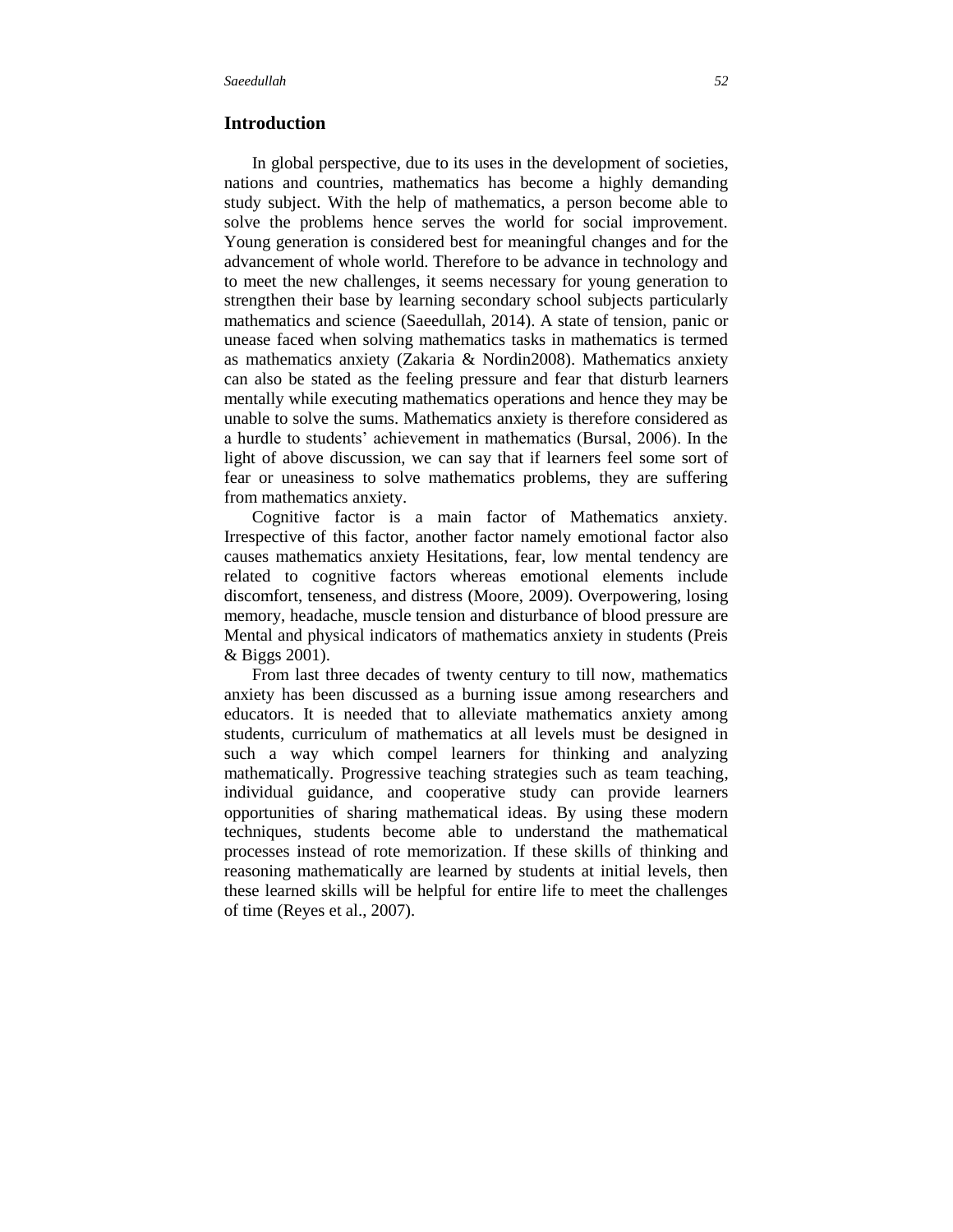## **Introduction**

In global perspective, due to its uses in the development of societies, nations and countries, mathematics has become a highly demanding study subject. With the help of mathematics, a person become able to solve the problems hence serves the world for social improvement. Young generation is considered best for meaningful changes and for the advancement of whole world. Therefore to be advance in technology and to meet the new challenges, it seems necessary for young generation to strengthen their base by learning secondary school subjects particularly mathematics and science (Saeedullah, 2014). A state of tension, panic or unease faced when solving mathematics tasks in mathematics is termed as mathematics anxiety (Zakaria & Nordin2008). Mathematics anxiety can also be stated as the feeling pressure and fear that disturb learners mentally while executing mathematics operations and hence they may be unable to solve the sums. Mathematics anxiety is therefore considered as a hurdle to students" achievement in mathematics (Bursal, 2006). In the light of above discussion, we can say that if learners feel some sort of fear or uneasiness to solve mathematics problems, they are suffering from mathematics anxiety.

Cognitive factor is a main factor of Mathematics anxiety. Irrespective of this factor, another factor namely emotional factor also causes mathematics anxiety Hesitations, fear, low mental tendency are related to cognitive factors whereas emotional elements include discomfort, tenseness, and distress (Moore, 2009). Overpowering, losing memory, headache, muscle tension and disturbance of blood pressure are Mental and physical indicators of mathematics anxiety in students (Preis & Biggs 2001).

From last three decades of twenty century to till now, mathematics anxiety has been discussed as a burning issue among researchers and educators. It is needed that to alleviate mathematics anxiety among students, curriculum of mathematics at all levels must be designed in such a way which compel learners for thinking and analyzing mathematically. Progressive teaching strategies such as team teaching, individual guidance, and cooperative study can provide learners opportunities of sharing mathematical ideas. By using these modern techniques, students become able to understand the mathematical processes instead of rote memorization. If these skills of thinking and reasoning mathematically are learned by students at initial levels, then these learned skills will be helpful for entire life to meet the challenges of time (Reyes et al., 2007).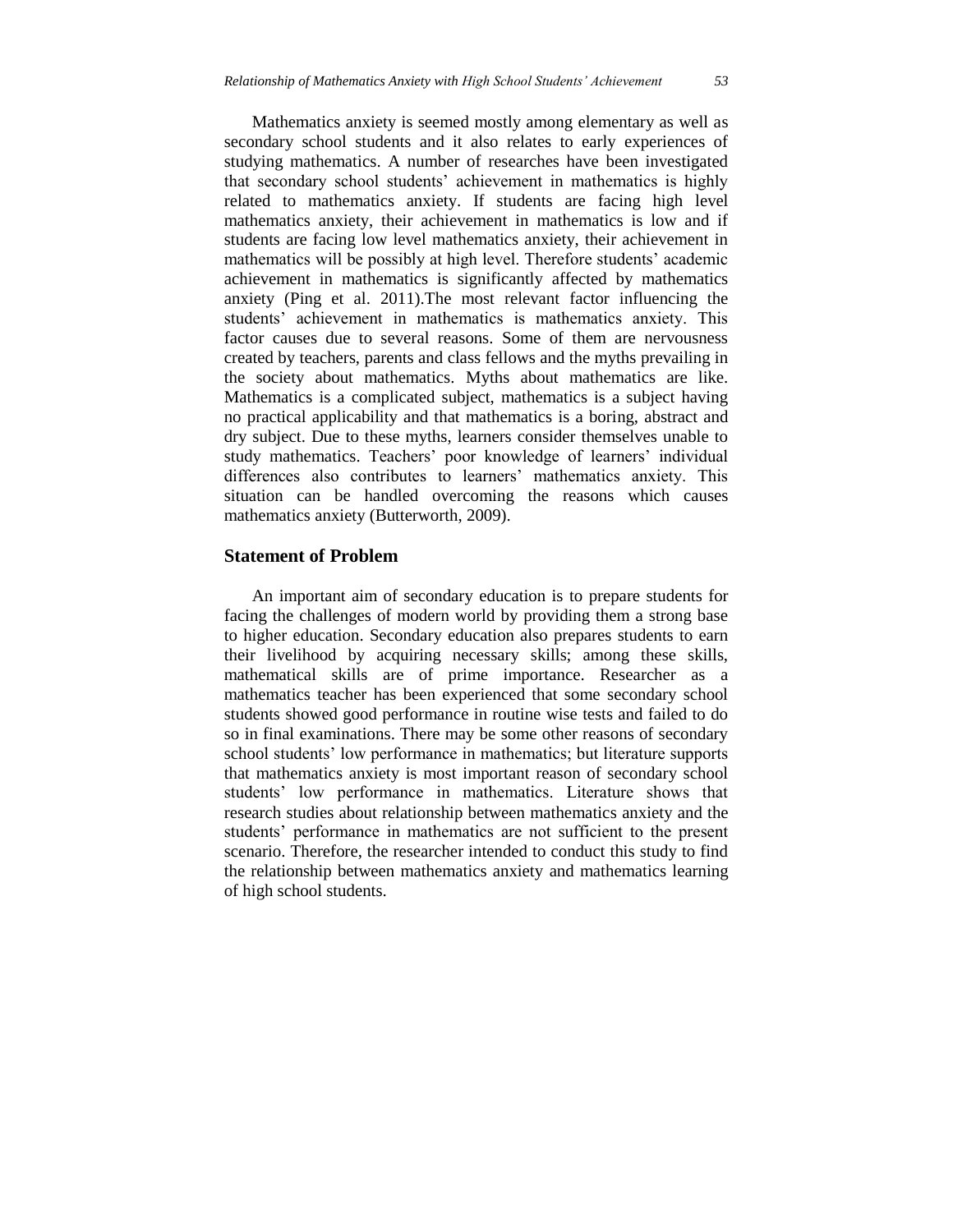Mathematics anxiety is seemed mostly among elementary as well as secondary school students and it also relates to early experiences of studying mathematics. A number of researches have been investigated that secondary school students" achievement in mathematics is highly related to mathematics anxiety. If students are facing high level mathematics anxiety, their achievement in mathematics is low and if students are facing low level mathematics anxiety, their achievement in mathematics will be possibly at high level. Therefore students' academic achievement in mathematics is significantly affected by mathematics anxiety (Ping et al. 2011).The most relevant factor influencing the students' achievement in mathematics is mathematics anxiety. This factor causes due to several reasons. Some of them are nervousness created by teachers, parents and class fellows and the myths prevailing in the society about mathematics. Myths about mathematics are like. Mathematics is a complicated subject, mathematics is a subject having no practical applicability and that mathematics is a boring, abstract and dry subject. Due to these myths, learners consider themselves unable to study mathematics. Teachers' poor knowledge of learners' individual differences also contributes to learners" mathematics anxiety. This situation can be handled overcoming the reasons which causes mathematics anxiety (Butterworth, 2009).

## **Statement of Problem**

An important aim of secondary education is to prepare students for facing the challenges of modern world by providing them a strong base to higher education. Secondary education also prepares students to earn their livelihood by acquiring necessary skills; among these skills, mathematical skills are of prime importance. Researcher as a mathematics teacher has been experienced that some secondary school students showed good performance in routine wise tests and failed to do so in final examinations. There may be some other reasons of secondary school students' low performance in mathematics; but literature supports that mathematics anxiety is most important reason of secondary school students' low performance in mathematics. Literature shows that research studies about relationship between mathematics anxiety and the students" performance in mathematics are not sufficient to the present scenario. Therefore, the researcher intended to conduct this study to find the relationship between mathematics anxiety and mathematics learning of high school students.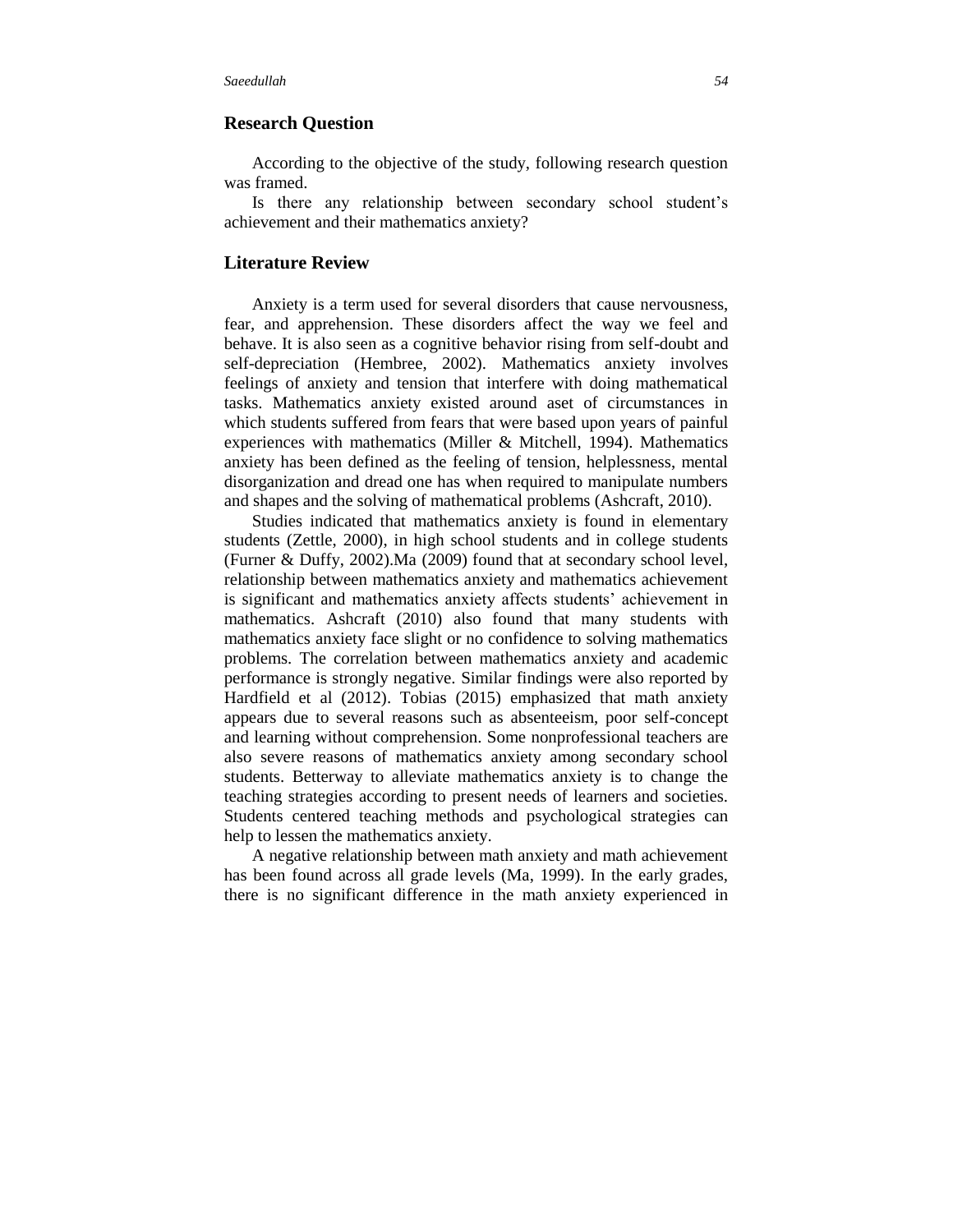#### **Research Question**

According to the objective of the study, following research question was framed.

Is there any relationship between secondary school student"s achievement and their mathematics anxiety?

#### **Literature Review**

Anxiety is a term used for several disorders that cause nervousness, fear, and apprehension. These disorders affect the way we feel and behave. It is also seen as a cognitive behavior rising from self-doubt and self-depreciation (Hembree, 2002). Mathematics anxiety involves feelings of anxiety and tension that interfere with doing mathematical tasks. Mathematics anxiety existed around aset of circumstances in which students suffered from fears that were based upon years of painful experiences with mathematics (Miller & Mitchell, 1994). Mathematics anxiety has been defined as the feeling of tension, helplessness, mental disorganization and dread one has when required to manipulate numbers and shapes and the solving of mathematical problems (Ashcraft, 2010).

Studies indicated that mathematics anxiety is found in elementary students (Zettle, 2000), in high school students and in college students (Furner & Duffy, 2002).Ma (2009) found that at secondary school level, relationship between mathematics anxiety and mathematics achievement is significant and mathematics anxiety affects students' achievement in mathematics. Ashcraft (2010) also found that many students with mathematics anxiety face slight or no confidence to solving mathematics problems. The correlation between mathematics anxiety and academic performance is strongly negative. Similar findings were also reported by Hardfield et al (2012). Tobias (2015) emphasized that math anxiety appears due to several reasons such as absenteeism, poor self-concept and learning without comprehension. Some nonprofessional teachers are also severe reasons of mathematics anxiety among secondary school students. Betterway to alleviate mathematics anxiety is to change the teaching strategies according to present needs of learners and societies. Students centered teaching methods and psychological strategies can help to lessen the mathematics anxiety.

A negative relationship between math anxiety and math achievement has been found across all grade levels (Ma, 1999). In the early grades, there is no significant difference in the math anxiety experienced in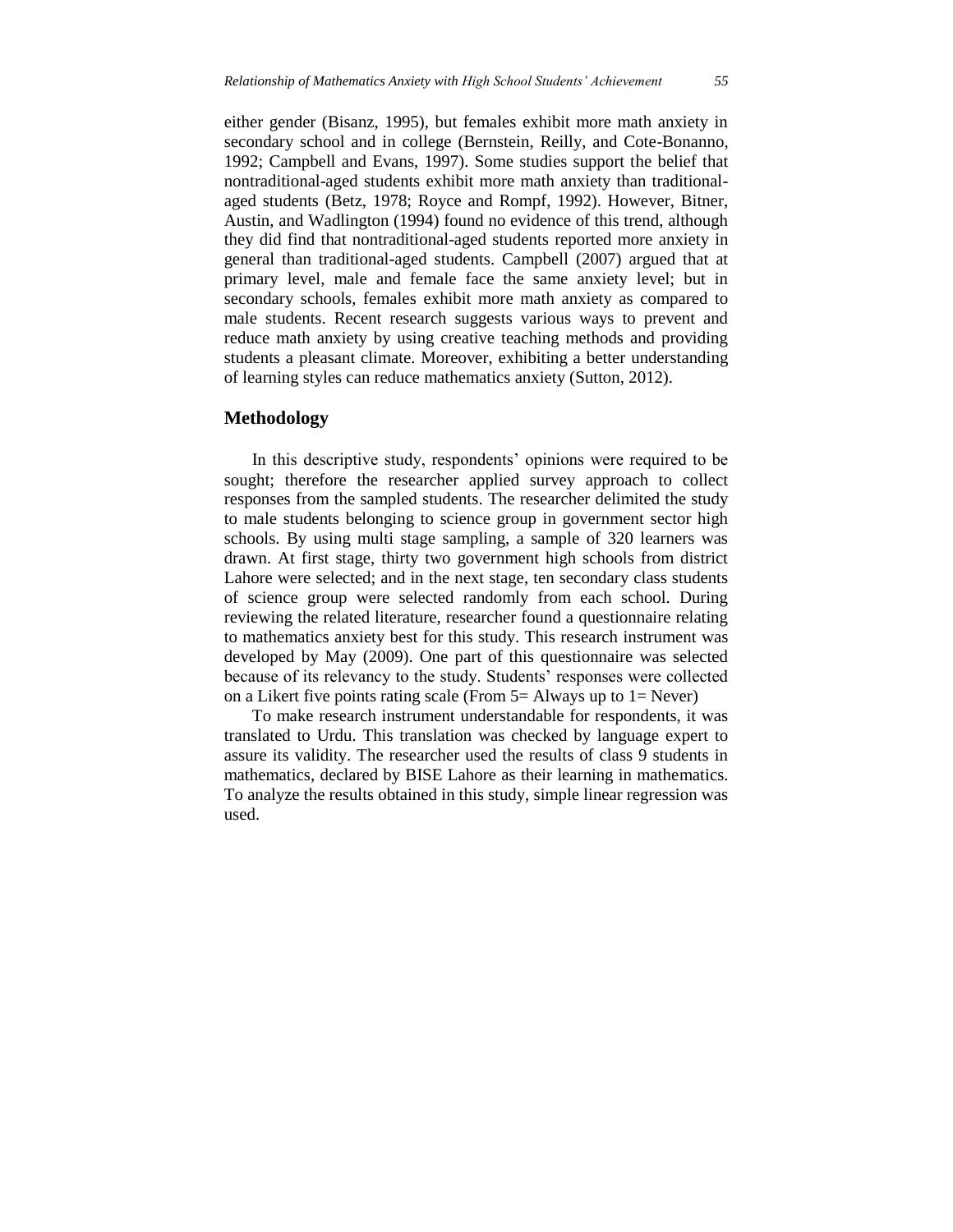either gender (Bisanz, 1995), but females exhibit more math anxiety in secondary school and in college (Bernstein, Reilly, and Cote-Bonanno, 1992; Campbell and Evans, 1997). Some studies support the belief that nontraditional-aged students exhibit more math anxiety than traditionalaged students (Betz, 1978; Royce and Rompf, 1992). However, Bitner, Austin, and Wadlington (1994) found no evidence of this trend, although they did find that nontraditional-aged students reported more anxiety in general than traditional-aged students. Campbell (2007) argued that at primary level, male and female face the same anxiety level; but in secondary schools, females exhibit more math anxiety as compared to male students. Recent research suggests various ways to prevent and reduce math anxiety by using creative teaching methods and providing students a pleasant climate. Moreover, exhibiting a better understanding of learning styles can reduce mathematics anxiety (Sutton, 2012).

#### **Methodology**

In this descriptive study, respondents' opinions were required to be sought; therefore the researcher applied survey approach to collect responses from the sampled students. The researcher delimited the study to male students belonging to science group in government sector high schools. By using multi stage sampling, a sample of 320 learners was drawn. At first stage, thirty two government high schools from district Lahore were selected; and in the next stage, ten secondary class students of science group were selected randomly from each school. During reviewing the related literature, researcher found a questionnaire relating to mathematics anxiety best for this study. This research instrument was developed by May (2009). One part of this questionnaire was selected because of its relevancy to the study. Students' responses were collected on a Likert five points rating scale (From  $5=$  Always up to  $1=$  Never)

To make research instrument understandable for respondents, it was translated to Urdu. This translation was checked by language expert to assure its validity. The researcher used the results of class 9 students in mathematics, declared by BISE Lahore as their learning in mathematics. To analyze the results obtained in this study, simple linear regression was used.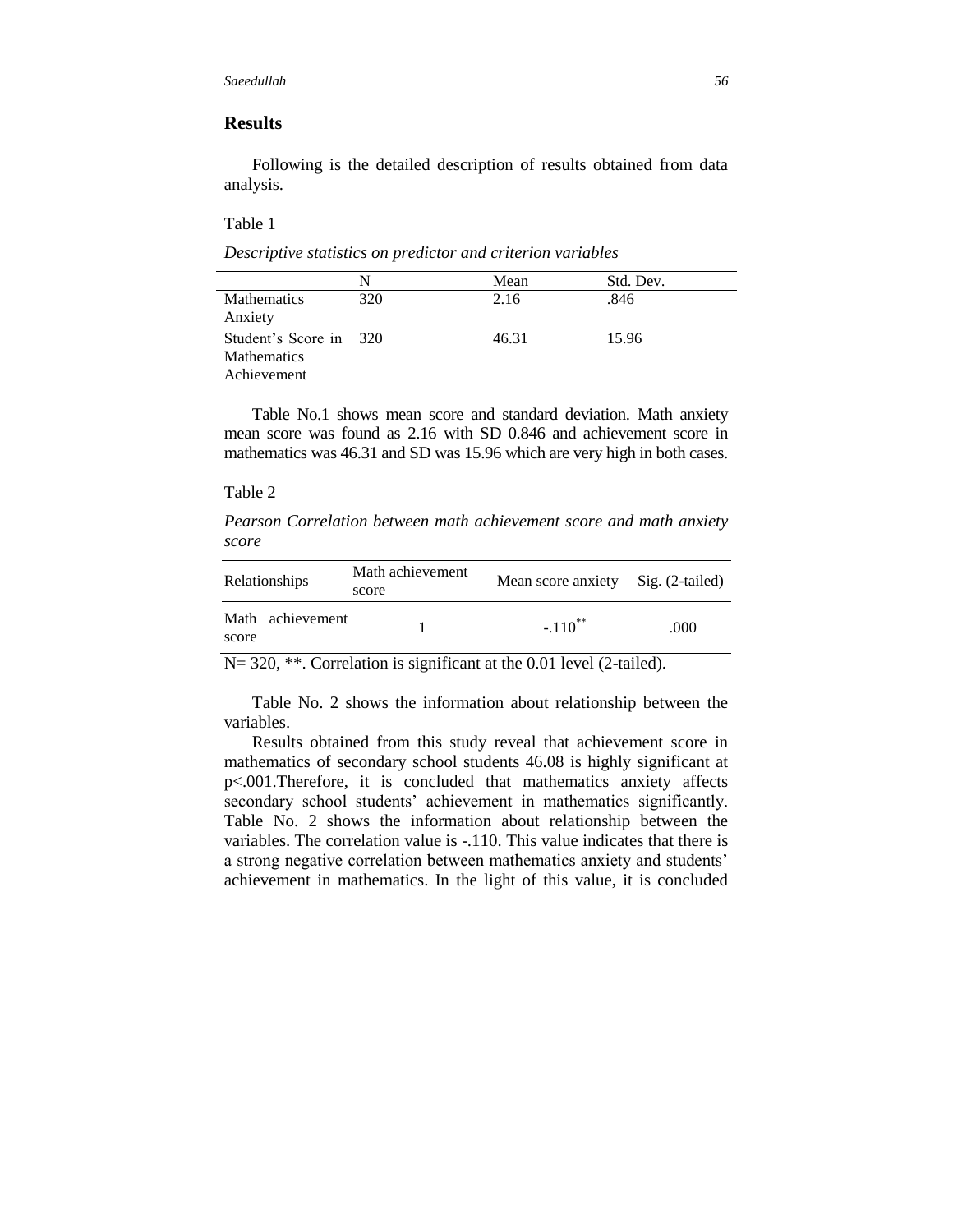## **Results**

Following is the detailed description of results obtained from data analysis.

Table 1

*Descriptive statistics on predictor and criterion variables*

|                        | N   | Mean  | Std. Dev. |
|------------------------|-----|-------|-----------|
| <b>Mathematics</b>     | 320 | 2.16  | .846      |
| Anxiety                |     |       |           |
| Student's Score in 320 |     | 46.31 | 15.96     |
| <b>Mathematics</b>     |     |       |           |
| Achievement            |     |       |           |

Table No.1 shows mean score and standard deviation. Math anxiety mean score was found as 2.16 with SD 0.846 and achievement score in mathematics was 46.31 and SD was 15.96 which are very high in both cases.

#### Table 2

*Pearson Correlation between math achievement score and math anxiety score* 

| <b>Relationships</b>      | Math achievement<br>score | Mean score anxiety Sig. (2-tailed) |      |
|---------------------------|---------------------------|------------------------------------|------|
| Math achievement<br>score |                           | $-.110$ <sup>**</sup>              | .000 |

N= 320, \*\*. Correlation is significant at the 0.01 level (2-tailed).

Table No. 2 shows the information about relationship between the variables.

Results obtained from this study reveal that achievement score in mathematics of secondary school students 46.08 is highly significant at p<.001.Therefore, it is concluded that mathematics anxiety affects secondary school students' achievement in mathematics significantly. Table No. 2 shows the information about relationship between the variables. The correlation value is -.110. This value indicates that there is a strong negative correlation between mathematics anxiety and students" achievement in mathematics. In the light of this value, it is concluded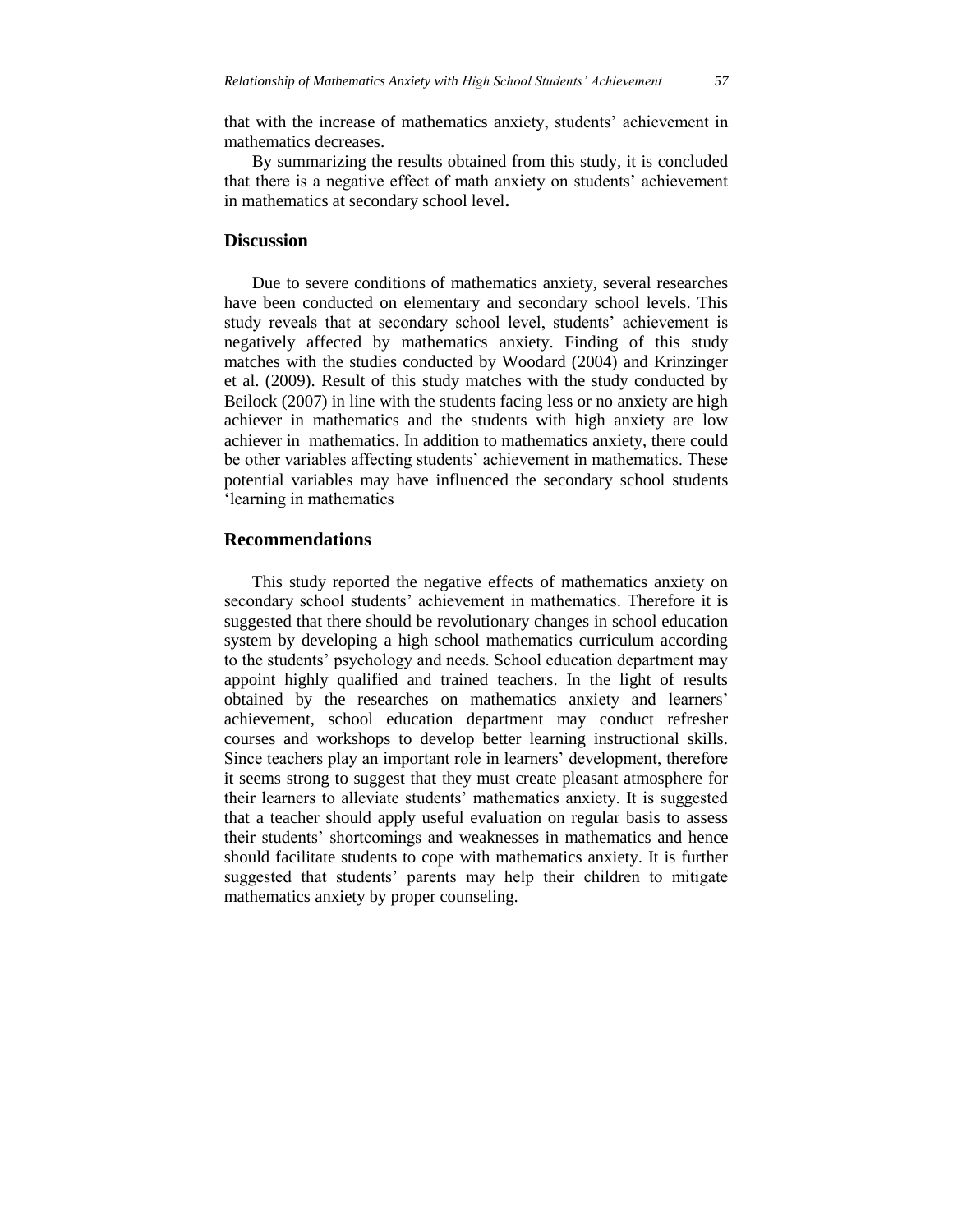that with the increase of mathematics anxiety, students" achievement in mathematics decreases.

By summarizing the results obtained from this study, it is concluded that there is a negative effect of math anxiety on students" achievement in mathematics at secondary school level**.**

#### **Discussion**

Due to severe conditions of mathematics anxiety, several researches have been conducted on elementary and secondary school levels. This study reveals that at secondary school level, students' achievement is negatively affected by mathematics anxiety. Finding of this study matches with the studies conducted by Woodard (2004) and Krinzinger et al. (2009). Result of this study matches with the study conducted by Beilock (2007) in line with the students facing less or no anxiety are high achiever in mathematics and the students with high anxiety are low achiever in mathematics. In addition to mathematics anxiety, there could be other variables affecting students' achievement in mathematics. These potential variables may have influenced the secondary school students "learning in mathematics

#### **Recommendations**

This study reported the negative effects of mathematics anxiety on secondary school students' achievement in mathematics. Therefore it is suggested that there should be revolutionary changes in school education system by developing a high school mathematics curriculum according to the students" psychology and needs. School education department may appoint highly qualified and trained teachers. In the light of results obtained by the researches on mathematics anxiety and learners" achievement, school education department may conduct refresher courses and workshops to develop better learning instructional skills. Since teachers play an important role in learners' development, therefore it seems strong to suggest that they must create pleasant atmosphere for their learners to alleviate students" mathematics anxiety. It is suggested that a teacher should apply useful evaluation on regular basis to assess their students" shortcomings and weaknesses in mathematics and hence should facilitate students to cope with mathematics anxiety. It is further suggested that students' parents may help their children to mitigate mathematics anxiety by proper counseling.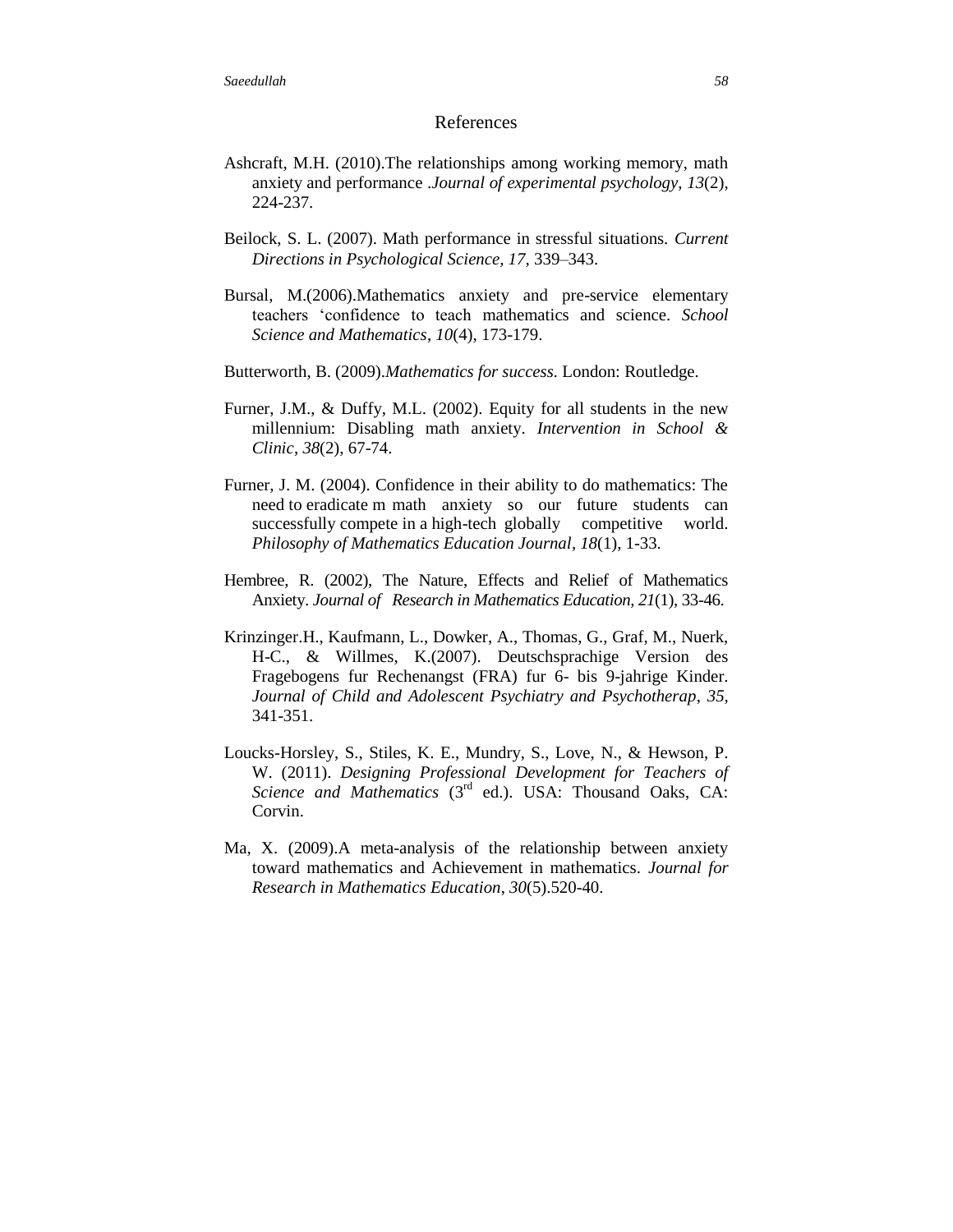#### References

- Ashcraft, M.H. (2010).The relationships among working memory, math anxiety and performance .*Journal of experimental psychology, 13*(2), 224-237.
- Beilock, S. L. (2007). Math performance in stressful situations. *Current Directions in Psychological Science, 17,* 339–343.
- Bursal, M.(2006).Mathematics anxiety and pre-service elementary teachers "confidence to teach mathematics and science. *School Science and Mathematics*, *10*(4), 173-179.
- Butterworth, B. (2009).*Mathematics for success.* London: Routledge.
- Furner, J.M., & Duffy, M.L. (2002). Equity for all students in the new millennium: Disabling math anxiety. *Intervention in School & Clinic*, *38*(2), 67-74.
- Furner, J. M. (2004). Confidence in their ability to do mathematics: The need to eradicate m math anxiety so our future students can successfully compete in a high-tech globally competitive world. *Philosophy of Mathematics Education Journal*, *18*(1), 1-33.
- Hembree, R. (2002), The Nature, Effects and Relief of Mathematics Anxiety. *Journal of Research in Mathematics Education, 21*(1), 33-46.
- Krinzinger.H., Kaufmann, L., Dowker, A., Thomas, G., Graf, M., Nuerk, H-C., & Willmes, K.(2007). Deutschsprachige Version des Fragebogens fur Rechenangst (FRA) fur 6- bis 9-jahrige Kinder. *Journal of Child and Adolescent Psychiatry and Psychotherap*, *35*, 341-351.
- Loucks-Horsley, S., Stiles, K. E., Mundry, S., Love, N., & Hewson, P. W. (2011). *Designing Professional Development for Teachers of Science and Mathematics* (3rd ed.). USA: Thousand Oaks, CA: Corvin.
- Ma, X. (2009).A meta-analysis of the relationship between anxiety toward mathematics and Achievement in mathematics. *Journal for Research in Mathematics Education*, *30*(5).520-40.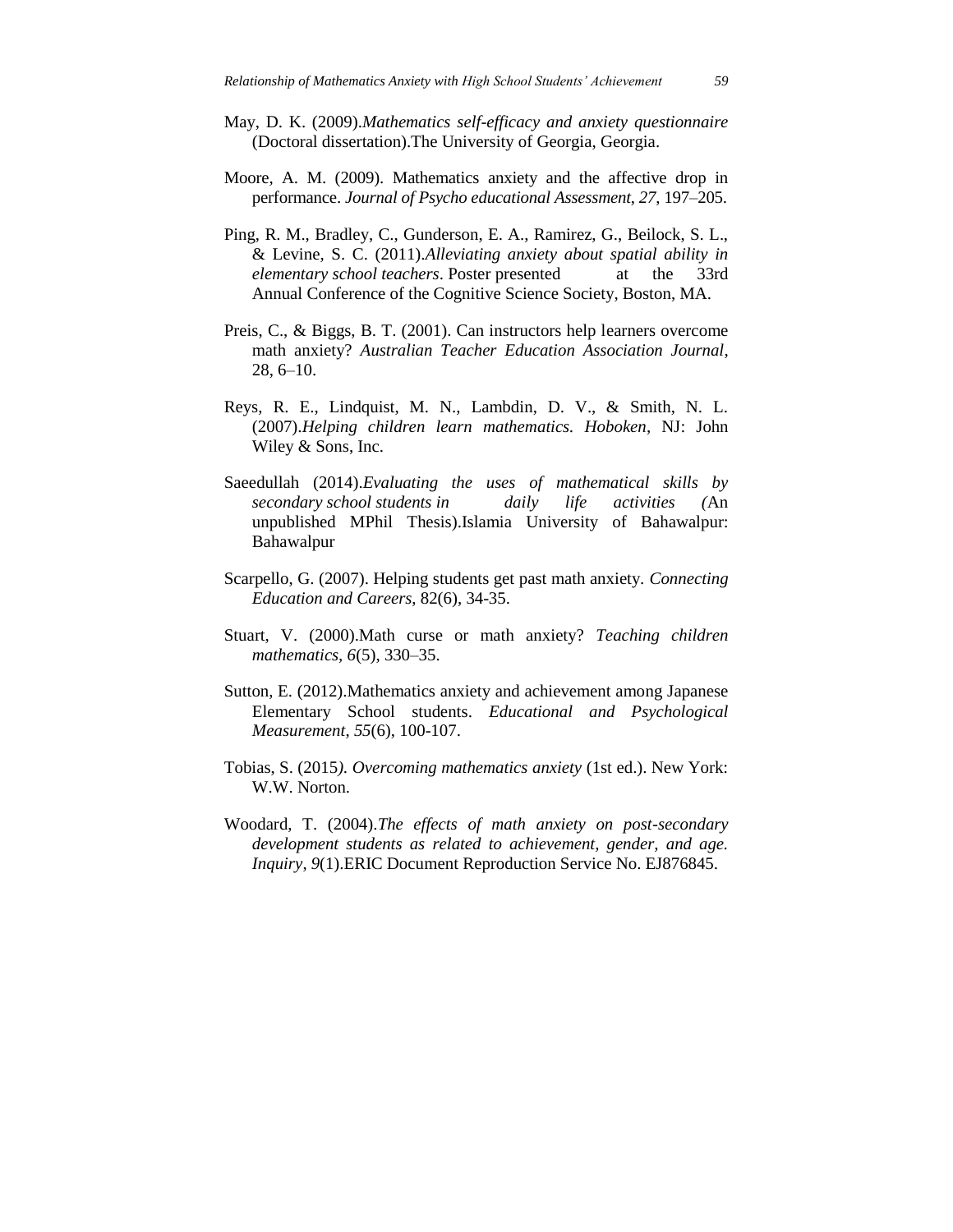- May, D. K. (2009).*Mathematics self-efficacy and anxiety questionnaire* (Doctoral dissertation).The University of Georgia, Georgia.
- Moore, A. M. (2009). Mathematics anxiety and the affective drop in performance. *Journal of Psycho educational Assessment*, *27*, 197–205.
- Ping, R. M., Bradley, C., Gunderson, E. A., Ramirez, G., Beilock, S. L., & Levine, S. C. (2011).*Alleviating anxiety about spatial ability in elementary school teachers*. Poster presented at the 33rd Annual Conference of the Cognitive Science Society, Boston, MA.
- Preis, C., & Biggs, B. T. (2001). Can instructors help learners overcome math anxiety? *Australian Teacher Education Association Journal*, 28, 6–10.
- Reys, R. E., Lindquist, M. N., Lambdin, D. V., & Smith, N. L. (2007).*Helping children learn mathematics. Hoboken*, NJ: John Wiley & Sons, Inc.
- Saeedullah (2014).*Evaluating the uses of mathematical skills by secondary school students in daily life activities (*An unpublished MPhil Thesis).Islamia University of Bahawalpur: Bahawalpur
- Scarpello, G. (2007). Helping students get past math anxiety. *Connecting Education and Careers*, 82(6), 34-35.
- Stuart, V. (2000).Math curse or math anxiety? *Teaching children mathematics, 6*(5), 330–35.
- Sutton, E. (2012).Mathematics anxiety and achievement among Japanese Elementary School students. *Educational and Psychological Measurement*, *55*(6), 100-107.
- Tobias, S. (2015*). Overcoming mathematics anxiety* (1st ed.). New York: W.W. Norton.
- Woodard, T. (2004).*The effects of math anxiety on post-secondary development students as related to achievement, gender, and age. Inquiry*, *9*(1).ERIC Document Reproduction Service No. EJ876845.